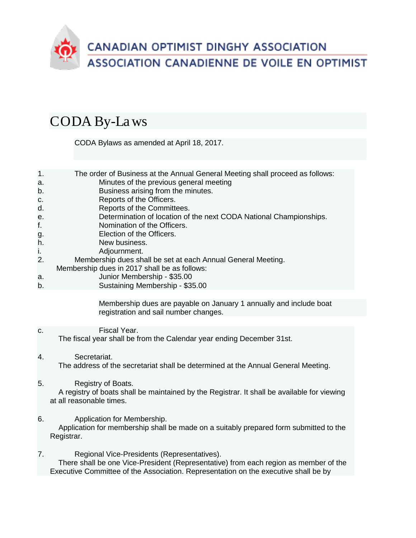

## CODA By-Laws

CODA Bylaws as amended at April 18, 2017.

| $\overline{1}$ . | The order of Business at the Annual General Meeting shall proceed as follows: |
|------------------|-------------------------------------------------------------------------------|
| a.               | Minutes of the previous general meeting                                       |
| b.               | Business arising from the minutes.                                            |
| C.               | Reports of the Officers.                                                      |
| d.               | Reports of the Committees.                                                    |
| е.               | Determination of location of the next CODA National Championships.            |
| f.               | Nomination of the Officers.                                                   |
| g.               | Election of the Officers.                                                     |
| h.               | New business.                                                                 |
| j.               | Adjournment.                                                                  |
| 2.               | Membership dues shall be set at each Annual General Meeting.                  |
|                  | Mambarshin duas in 2017 shall be as follows:                                  |

- Membership dues in 2017 shall be as follows:
- a. Junior Membership \$35.00
- b. Sustaining Membership \$35.00

Membership dues are payable on January 1 annually and include boat registration and sail number changes.

## c. Fiscal Year. The fiscal year shall be from the Calendar year ending December 31st.

- 4. Secretariat. The address of the secretariat shall be determined at the Annual General Meeting.
- 5. Registry of Boats.

 A registry of boats shall be maintained by the Registrar. It shall be available for viewing at all reasonable times.

- 6. Application for Membership. Application for membership shall be made on a suitably prepared form submitted to the Registrar.
- 7. Regional Vice-Presidents (Representatives). There shall be one Vice-President (Representative) from each region as member of the Executive Committee of the Association. Representation on the executive shall be by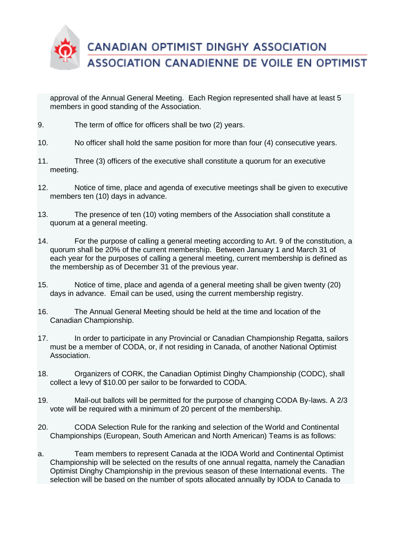

approval of the Annual General Meeting. Each Region represented shall have at least 5 members in good standing of the Association.

- 9. The term of office for officers shall be two (2) years.
- 10. No officer shall hold the same position for more than four (4) consecutive years.
- 11. Three (3) officers of the executive shall constitute a quorum for an executive meeting.
- 12. Notice of time, place and agenda of executive meetings shall be given to executive members ten (10) days in advance.
- 13. The presence of ten (10) voting members of the Association shall constitute a quorum at a general meeting.
- 14. For the purpose of calling a general meeting according to Art. 9 of the constitution, a quorum shall be 20% of the current membership. Between January 1 and March 31 of each year for the purposes of calling a general meeting, current membership is defined as the membership as of December 31 of the previous year.
- 15. Notice of time, place and agenda of a general meeting shall be given twenty (20) days in advance. Email can be used, using the current membership registry.
- 16. The Annual General Meeting should be held at the time and location of the Canadian Championship.
- 17. In order to participate in any Provincial or Canadian Championship Regatta, sailors must be a member of CODA, or, if not residing in Canada, of another National Optimist Association.
- 18. Organizers of CORK, the Canadian Optimist Dinghy Championship (CODC), shall collect a levy of \$10.00 per sailor to be forwarded to CODA.
- 19. Mail-out ballots will be permitted for the purpose of changing CODA By-laws. A 2/3 vote will be required with a minimum of 20 percent of the membership.
- 20. CODA Selection Rule for the ranking and selection of the World and Continental Championships (European, South American and North American) Teams is as follows:
- a. Team members to represent Canada at the IODA World and Continental Optimist Championship will be selected on the results of one annual regatta, namely the Canadian Optimist Dinghy Championship in the previous season of these International events. The selection will be based on the number of spots allocated annually by IODA to Canada to